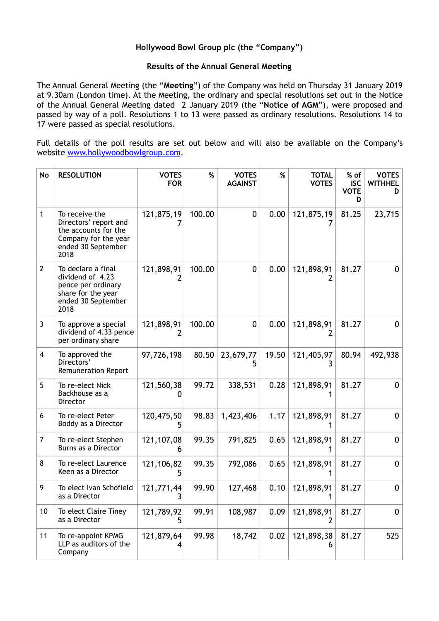## **Hollywood Bowl Group plc (the "Company")**

## **Results of the Annual General Meeting**

The Annual General Meeting (the "**Meeting**") of the Company was held on Thursday 31 January 2019 at 9.30am (London time). At the Meeting, the ordinary and special resolutions set out in the Notice of the Annual General Meeting dated 2 January 2019 (the "**Notice of AGM**"), were proposed and passed by way of a poll. Resolutions 1 to 13 were passed as ordinary resolutions. Resolutions 14 to 17 were passed as special resolutions.

Full details of the poll results are set out below and will also be available on the Company's website [www.hollywoodbowlgroup.com](http://www.hollywoodbowlgroup.com).

| No             | <b>RESOLUTION</b>                                                                                                     | <b>VOTES</b><br><b>FOR</b> | %      | <b>VOTES</b><br><b>AGAINST</b> | $\%$  | <b>TOTAL</b><br><b>VOTES</b> | % of<br><b>ISC</b><br><b>VOTE</b><br>D | <b>VOTES</b><br><b>WITHHEL</b><br>D |
|----------------|-----------------------------------------------------------------------------------------------------------------------|----------------------------|--------|--------------------------------|-------|------------------------------|----------------------------------------|-------------------------------------|
| 1              | To receive the<br>Directors' report and<br>the accounts for the<br>Company for the year<br>ended 30 September<br>2018 | 121,875,19                 | 100.00 | $\mathbf 0$                    | 0.00  | 121,875,19                   | 81.25                                  | 23,715                              |
| $\overline{2}$ | To declare a final<br>dividend of 4.23<br>pence per ordinary<br>share for the year<br>ended 30 September<br>2018      | 121,898,91                 | 100.00 | $\mathbf 0$                    | 0.00  | 121,898,91                   | 81.27                                  | $\mathbf{0}$                        |
| 3              | To approve a special<br>dividend of 4.33 pence<br>per ordinary share                                                  | 121,898,91<br>7            | 100.00 | $\boldsymbol{0}$               | 0.00  | 121,898,91<br>2              | 81.27                                  | 0                                   |
| 4              | To approved the<br>Directors'<br><b>Remuneration Report</b>                                                           | 97,726,198                 | 80.50  | 23,679,77<br>5.                | 19.50 | 121,405,97<br>3              | 80.94                                  | 492,938                             |
| 5              | To re-elect Nick<br>Backhouse as a<br>Director                                                                        | 121,560,38<br>0            | 99.72  | 338,531                        | 0.28  | 121,898,91                   | 81.27                                  | 0                                   |
| 6              | To re-elect Peter<br>Boddy as a Director                                                                              | 120,475,50<br>5            | 98.83  | 1,423,406                      | 1.17  | 121,898,91                   | 81.27                                  | 0                                   |
| 7              | To re-elect Stephen<br>Burns as a Director                                                                            | 121, 107, 08<br>6          | 99.35  | 791,825                        | 0.65  | 121,898,91                   | 81.27                                  | $\mathbf 0$                         |
| 8              | To re-elect Laurence<br>Keen as a Director                                                                            | 121,106,82<br>5            | 99.35  | 792,086                        | 0.65  | 121,898,91                   | 81.27                                  | $\mathbf 0$                         |
| 9              | To elect Ivan Schofield<br>as a Director                                                                              | 121,771,44                 | 99.90  | 127,468                        | 0.10  | 121,898,91                   | 81.27                                  | 0                                   |
| 10             | To elect Claire Tiney<br>as a Director                                                                                | 121,789,92<br>5            | 99.91  | 108,987                        | 0.09  | 121,898,91<br>2              | 81.27                                  | 0                                   |
| 11             | To re-appoint KPMG<br>LLP as auditors of the<br>Company                                                               | 121,879,64<br>4            | 99.98  | 18,742                         | 0.02  | 121,898,38<br>6              | 81.27                                  | 525                                 |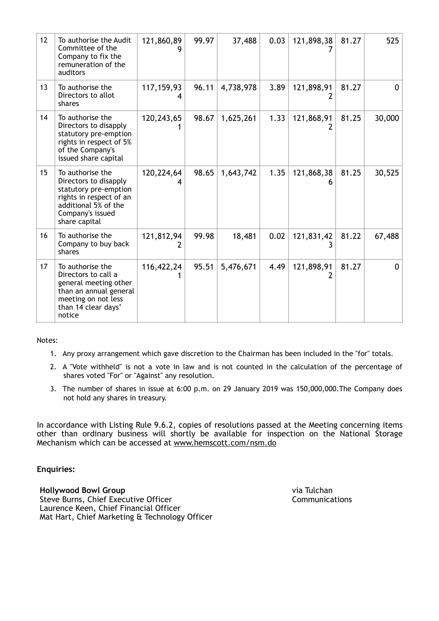| 12 | To authorise the Audit<br>Committee of the<br>Company to fix the<br>remuneration of the<br>auditors                                                        | 121,860,89   | 99.97 | 37,488    | 0.03 | 121,898,38 | 81.27 | 525          |
|----|------------------------------------------------------------------------------------------------------------------------------------------------------------|--------------|-------|-----------|------|------------|-------|--------------|
| 13 | To authorise the<br>Directors to allot<br>shares                                                                                                           | 117, 159, 93 | 96.11 | 4,738,978 | 3.89 | 121,898,91 | 81.27 | 0            |
| 14 | To authorise the<br>Directors to disapply<br>statutory pre-emption<br>rights in respect of 5%<br>of the Company's<br>issued share capital                  | 120,243,65   | 98.67 | 1,625,261 | 1.33 | 121,868,91 | 81.25 | 30,000       |
| 15 | To authorise the<br>Directors to disapply<br>statutory pre-emption<br>rights in respect of an<br>additional 5% of the<br>Company's issued<br>share capital | 120,224,64   | 98.65 | 1,643,742 | 1.35 | 121,868,38 | 81.25 | 30,525       |
| 16 | To authorise the<br>Company to buy back<br>shares                                                                                                          | 121,812,94   | 99.98 | 18,481    | 0.02 | 121,831,42 | 81.22 | 67,488       |
| 17 | To authorise the<br>Directors to call a<br>general meeting other<br>than an annual general<br>meeting on not less<br>than 14 clear days'<br>notice         | 116,422,24   | 95.51 | 5,476,671 | 4.49 | 121,898,91 | 81.27 | <sup>0</sup> |

Notes:

- 1. Any proxy arrangement which gave discretion to the Chairman has been included in the "for" totals.
- 2. A "Vote withheld" is not a vote in law and is not counted in the calculation of the percentage of shares voted "For" or "Against" any resolution.
- 3. The number of shares in issue at 6:00 p.m. on 29 January 2019 was 150,000,000.The Company does not hold any shares in treasury.

In accordance with Listing Rule 9.6.2, copies of resolutions passed at the Meeting concerning items other than ordinary business will shortly be available for inspection on the National Storage Mechanism which can be accessed at [www.hemscott.com/nsm.do](http://www.hemscott.com/nsm.do)

**Enquiries:** 

**Hollywood Bowl Group**  Steve Burns, Chief Executive Officer Laurence Keen, Chief Financial Officer Mat Hart, Chief Marketing & Technology Officer via Tulchan **Communications**